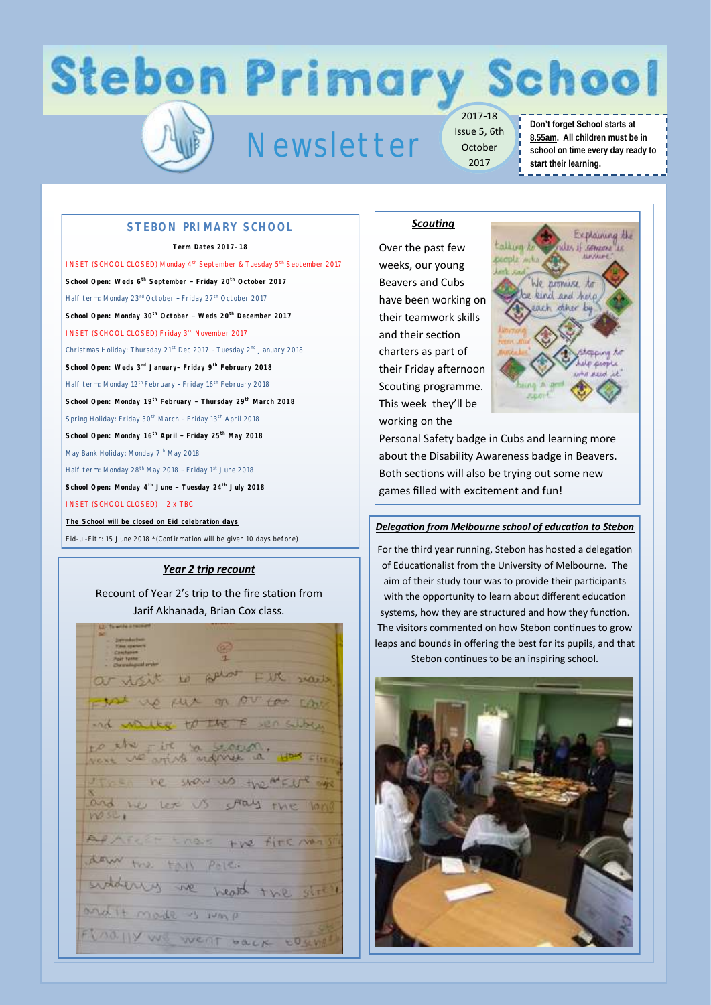## **Stebon Primary School**

### Newsletter

2017-18 Issue 5, 6th October 2017

#### **Don't forget School starts at 8.55am. All children must be in school on time every day ready to start their learning.**

#### **STEBON PRIMARY SCHOOL**

#### **Term Dates 2017-18**

INSET (SCHOOL CLOSED) Monday 4<sup>th</sup> September & Tuesday 5<sup>th</sup> September 2017 **School Open: Weds 6th September – Friday 20th October 2017** Half term: Monday 23<sup>rd</sup> October - Friday 27<sup>th</sup> October 2017 **School Open: Monday 30th October – Weds 20th December 2017**  INSET (SCHOOL CLOSED) Friday 3rd November 2017 Christmas Holiday: Thursday 21st Dec 2017 – Tuesday 2nd January 2018 **School Open: Weds 3rd January– Friday 9th February 2018** Half term: Monday 12<sup>th</sup> February - Friday 16<sup>th</sup> February 2018 **School Open: Monday 19th February – Thursday 29th March 2018** Spring Holiday: Friday 30<sup>th</sup> March - Friday 13<sup>th</sup> April 2018 **School Open: Monday 16th April – Friday 25th May 2018** May Bank Holiday: Monday 7<sup>th</sup> May 2018 Half term: Monday 28<sup>th</sup> May 2018 - Friday 1<sup>st</sup> June 2018 **School Open: Monday 4th June – Tuesday 24th July 2018** INSET (SCHOOL CLOSED) 2 x TBC **The School will be closed on Eid celebration days**

Eid-ul-Fitr: 15 June 2018 \*(Confirmation will be given 10 days before)

#### *Year 2 trip recount*

#### Recount of Year 2's trip to the fire station from Jarif Akhanada, Brian Cox class.

to Aphot Fire 200 put on our for con-Fire to secon the rise The show us two MELI and we let EM Emers the fire mass daw the tall pole. health and it mode is in p FLOOHY WE WENT HOLK COMM

#### *Scouting*

Over the past few weeks, our young Beavers and Cubs have been working on their teamwork skills and their section charters as part of their Friday afternoon Scouting programme. This week they'll be working on the



Personal Safety badge in Cubs and learning more about the Disability Awareness badge in Beavers. Both sections will also be trying out some new games filled with excitement and fun!

#### *Delegation from Melbourne school of education to Stebon*

For the third year running, Stebon has hosted a delegation of Educationalist from the University of Melbourne. The aim of their study tour was to provide their participants with the opportunity to learn about different education systems, how they are structured and how they function. The visitors commented on how Stebon continues to grow leaps and bounds in offering the best for its pupils, and that Stebon continues to be an inspiring school.